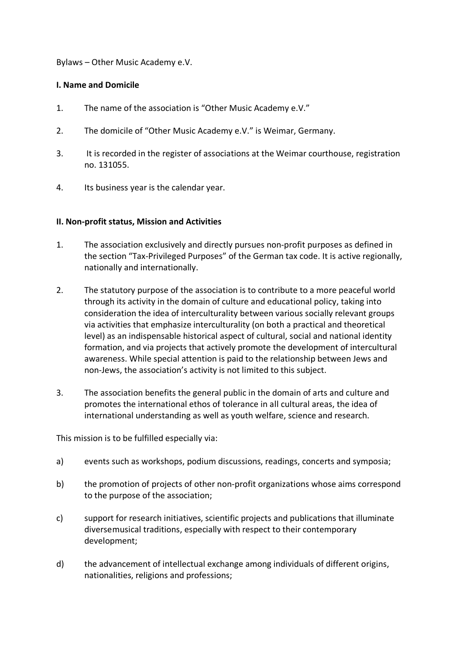#### Bylaws – Other Music Academy e.V.

## **I. Name and Domicile**

- 1. The name of the association is "Other Music Academy e.V."
- 2. The domicile of "Other Music Academy e.V." is Weimar, Germany.
- 3. It is recorded in the register of associations at the Weimar courthouse, registration no. 131055.
- 4. Its business year is the calendar year.

## **II. Non-profit status, Mission and Activities**

- 1. The association exclusively and directly pursues non-profit purposes as defined in the section "Tax-Privileged Purposes" of the German tax code. It is active regionally, nationally and internationally.
- 2. The statutory purpose of the association is to contribute to a more peaceful world through its activity in the domain of culture and educational policy, taking into consideration the idea of interculturality between various socially relevant groups via activities that emphasize interculturality (on both a practical and theoretical level) as an indispensable historical aspect of cultural, social and national identity formation, and via projects that actively promote the development of intercultural awareness. While special attention is paid to the relationship between Jews and non-Jews, the association's activity is not limited to this subject.
- 3. The association benefits the general public in the domain of arts and culture and promotes the international ethos of tolerance in all cultural areas, the idea of international understanding as well as youth welfare, science and research.

This mission is to be fulfilled especially via:

- a) events such as workshops, podium discussions, readings, concerts and symposia;
- b) the promotion of projects of other non-profit organizations whose aims correspond to the purpose of the association;
- c) support for research initiatives, scientific projects and publications that illuminate diversemusical traditions, especially with respect to their contemporary development;
- d) the advancement of intellectual exchange among individuals of different origins, nationalities, religions and professions;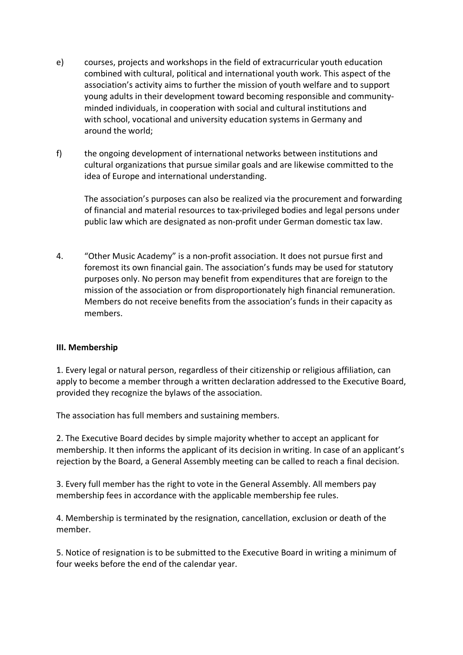- e) courses, projects and workshops in the field of extracurricular youth education combined with cultural, political and international youth work. This aspect of the association's activity aims to further the mission of youth welfare and to support young adults in their development toward becoming responsible and communityminded individuals, in cooperation with social and cultural institutions and with school, vocational and university education systems in Germany and around the world;
- f) the ongoing development of international networks between institutions and cultural organizations that pursue similar goals and are likewise committed to the idea of Europe and international understanding.

The association's purposes can also be realized via the procurement and forwarding of financial and material resources to tax-privileged bodies and legal persons under public law which are designated as non-profit under German domestic tax law.

4. "Other Music Academy" is a non-profit association. It does not pursue first and foremost its own financial gain. The association's funds may be used for statutory purposes only. No person may benefit from expenditures that are foreign to the mission of the association or from disproportionately high financial remuneration. Members do not receive benefits from the association's funds in their capacity as members.

# **III. Membership**

1. Every legal or natural person, regardless of their citizenship or religious affiliation, can apply to become a member through a written declaration addressed to the Executive Board, provided they recognize the bylaws of the association.

The association has full members and sustaining members.

2. The Executive Board decides by simple majority whether to accept an applicant for membership. It then informs the applicant of its decision in writing. In case of an applicant's rejection by the Board, a General Assembly meeting can be called to reach a final decision.

3. Every full member has the right to vote in the General Assembly. All members pay membership fees in accordance with the applicable membership fee rules.

4. Membership is terminated by the resignation, cancellation, exclusion or death of the member.

5. Notice of resignation is to be submitted to the Executive Board in writing a minimum of four weeks before the end of the calendar year.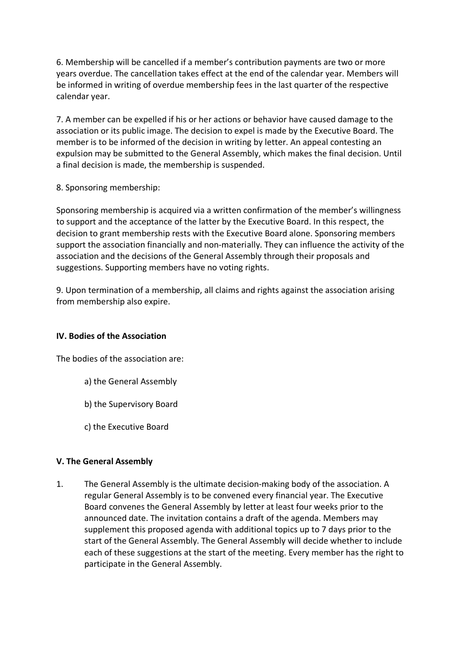6. Membership will be cancelled if a member's contribution payments are two or more years overdue. The cancellation takes effect at the end of the calendar year. Members will be informed in writing of overdue membership fees in the last quarter of the respective calendar year.

7. A member can be expelled if his or her actions or behavior have caused damage to the association or its public image. The decision to expel is made by the Executive Board. The member is to be informed of the decision in writing by letter. An appeal contesting an expulsion may be submitted to the General Assembly, which makes the final decision. Until a final decision is made, the membership is suspended.

8. Sponsoring membership:

Sponsoring membership is acquired via a written confirmation of the member's willingness to support and the acceptance of the latter by the Executive Board. In this respect, the decision to grant membership rests with the Executive Board alone. Sponsoring members support the association financially and non-materially. They can influence the activity of the association and the decisions of the General Assembly through their proposals and suggestions. Supporting members have no voting rights.

9. Upon termination of a membership, all claims and rights against the association arising from membership also expire.

# **IV. Bodies of the Association**

The bodies of the association are:

- a) the General Assembly
- b) the Supervisory Board
- c) the Executive Board

# **V. The General Assembly**

1. The General Assembly is the ultimate decision-making body of the association. A regular General Assembly is to be convened every financial year. The Executive Board convenes the General Assembly by letter at least four weeks prior to the announced date. The invitation contains a draft of the agenda. Members may supplement this proposed agenda with additional topics up to 7 days prior to the start of the General Assembly. The General Assembly will decide whether to include each of these suggestions at the start of the meeting. Every member has the right to participate in the General Assembly.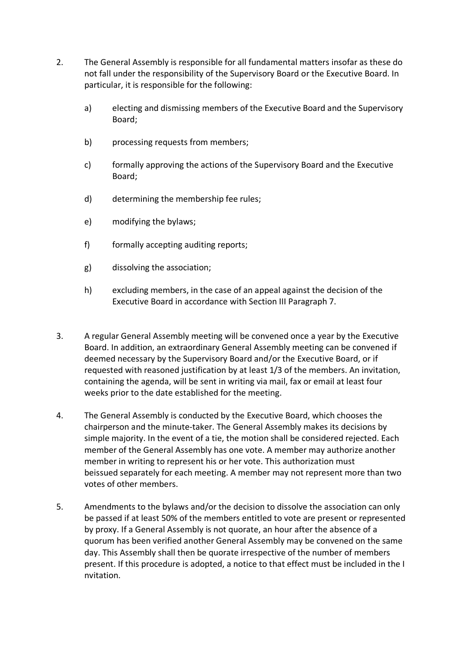- 2. The General Assembly is responsible for all fundamental matters insofar as these do not fall under the responsibility of the Supervisory Board or the Executive Board. In particular, it is responsible for the following:
	- a) electing and dismissing members of the Executive Board and the Supervisory Board;
	- b) processing requests from members;
	- c) formally approving the actions of the Supervisory Board and the Executive Board;
	- d) determining the membership fee rules;
	- e) modifying the bylaws;
	- f) formally accepting auditing reports;
	- g) dissolving the association;
	- h) excluding members, in the case of an appeal against the decision of the Executive Board in accordance with Section III Paragraph 7.
- 3. A regular General Assembly meeting will be convened once a year by the Executive Board. In addition, an extraordinary General Assembly meeting can be convened if deemed necessary by the Supervisory Board and/or the Executive Board, or if requested with reasoned justification by at least 1/3 of the members. An invitation, containing the agenda, will be sent in writing via mail, fax or email at least four weeks prior to the date established for the meeting.
- 4. The General Assembly is conducted by the Executive Board, which chooses the chairperson and the minute-taker. The General Assembly makes its decisions by simple majority. In the event of a tie, the motion shall be considered rejected. Each member of the General Assembly has one vote. A member may authorize another member in writing to represent his or her vote. This authorization must beissued separately for each meeting. A member may not represent more than two votes of other members.
- 5. Amendments to the bylaws and/or the decision to dissolve the association can only be passed if at least 50% of the members entitled to vote are present or represented by proxy. If a General Assembly is not quorate, an hour after the absence of a quorum has been verified another General Assembly may be convened on the same day. This Assembly shall then be quorate irrespective of the number of members present. If this procedure is adopted, a notice to that effect must be included in the I nvitation.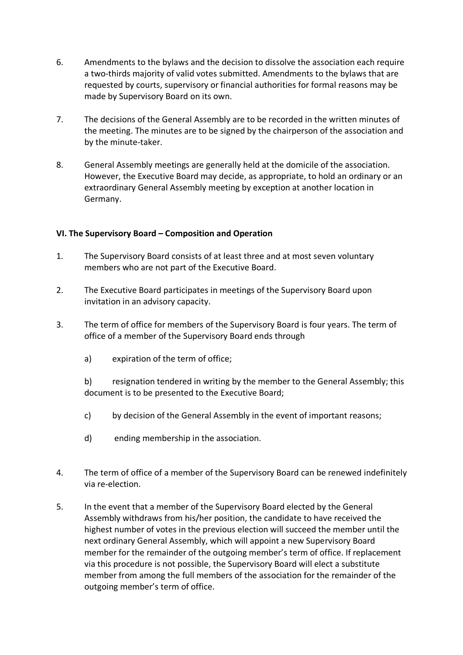- 6. Amendments to the bylaws and the decision to dissolve the association each require a two-thirds majority of valid votes submitted. Amendments to the bylaws that are requested by courts, supervisory or financial authorities for formal reasons may be made by Supervisory Board on its own.
- 7. The decisions of the General Assembly are to be recorded in the written minutes of the meeting. The minutes are to be signed by the chairperson of the association and by the minute-taker.
- 8. General Assembly meetings are generally held at the domicile of the association. However, the Executive Board may decide, as appropriate, to hold an ordinary or an extraordinary General Assembly meeting by exception at another location in Germany.

## **VI. The Supervisory Board – Composition and Operation**

- 1. The Supervisory Board consists of at least three and at most seven voluntary members who are not part of the Executive Board.
- 2. The Executive Board participates in meetings of the Supervisory Board upon invitation in an advisory capacity.
- 3. The term of office for members of the Supervisory Board is four years. The term of office of a member of the Supervisory Board ends through
	- a) expiration of the term of office;

b) resignation tendered in writing by the member to the General Assembly; this document is to be presented to the Executive Board;

- c) by decision of the General Assembly in the event of important reasons;
- d) ending membership in the association.
- 4. The term of office of a member of the Supervisory Board can be renewed indefinitely via re-election.
- 5. In the event that a member of the Supervisory Board elected by the General Assembly withdraws from his/her position, the candidate to have received the highest number of votes in the previous election will succeed the member until the next ordinary General Assembly, which will appoint a new Supervisory Board member for the remainder of the outgoing member's term of office. If replacement via this procedure is not possible, the Supervisory Board will elect a substitute member from among the full members of the association for the remainder of the outgoing member's term of office.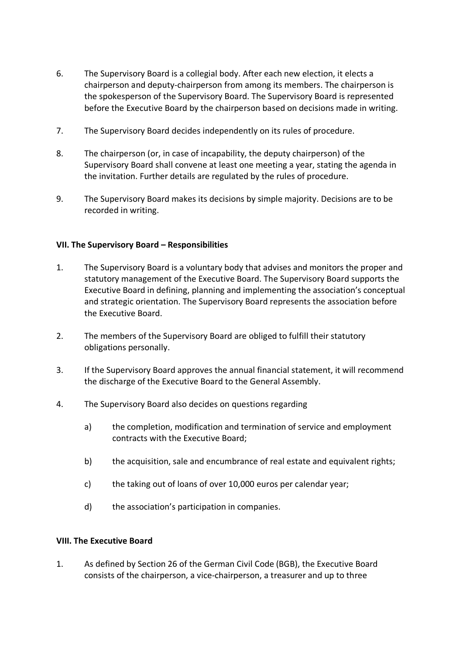- 6. The Supervisory Board is a collegial body. After each new election, it elects a chairperson and deputy-chairperson from among its members. The chairperson is the spokesperson of the Supervisory Board. The Supervisory Board is represented before the Executive Board by the chairperson based on decisions made in writing.
- 7. The Supervisory Board decides independently on its rules of procedure.
- 8. The chairperson (or, in case of incapability, the deputy chairperson) of the Supervisory Board shall convene at least one meeting a year, stating the agenda in the invitation. Further details are regulated by the rules of procedure.
- 9. The Supervisory Board makes its decisions by simple majority. Decisions are to be recorded in writing.

#### **VII. The Supervisory Board – Responsibilities**

- 1. The Supervisory Board is a voluntary body that advises and monitors the proper and statutory management of the Executive Board. The Supervisory Board supports the Executive Board in defining, planning and implementing the association's conceptual and strategic orientation. The Supervisory Board represents the association before the Executive Board.
- 2. The members of the Supervisory Board are obliged to fulfill their statutory obligations personally.
- 3. If the Supervisory Board approves the annual financial statement, it will recommend the discharge of the Executive Board to the General Assembly.
- 4. The Supervisory Board also decides on questions regarding
	- a) the completion, modification and termination of service and employment contracts with the Executive Board;
	- b) the acquisition, sale and encumbrance of real estate and equivalent rights;
	- c) the taking out of loans of over 10,000 euros per calendar year;
	- d) the association's participation in companies.

#### **VIII. The Executive Board**

1. As defined by Section 26 of the German Civil Code (BGB), the Executive Board consists of the chairperson, a vice-chairperson, a treasurer and up to three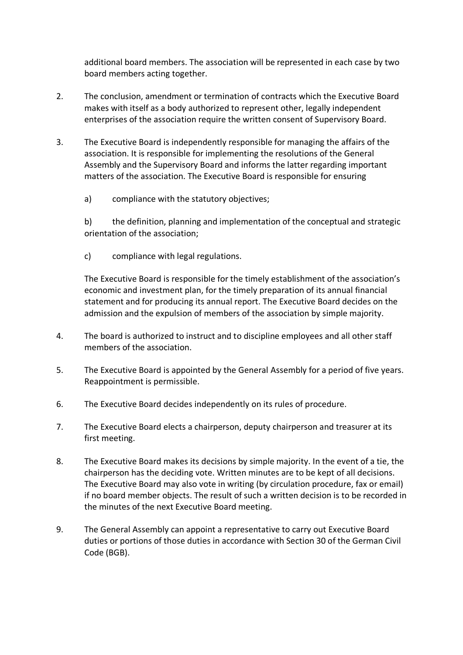additional board members. The association will be represented in each case by two board members acting together.

- 2. The conclusion, amendment or termination of contracts which the Executive Board makes with itself as a body authorized to represent other, legally independent enterprises of the association require the written consent of Supervisory Board.
- 3. The Executive Board is independently responsible for managing the affairs of the association. It is responsible for implementing the resolutions of the General Assembly and the Supervisory Board and informs the latter regarding important matters of the association. The Executive Board is responsible for ensuring
	- a) compliance with the statutory objectives;

b) the definition, planning and implementation of the conceptual and strategic orientation of the association;

c) compliance with legal regulations.

The Executive Board is responsible for the timely establishment of the association's economic and investment plan, for the timely preparation of its annual financial statement and for producing its annual report. The Executive Board decides on the admission and the expulsion of members of the association by simple majority.

- 4. The board is authorized to instruct and to discipline employees and all other staff members of the association.
- 5. The Executive Board is appointed by the General Assembly for a period of five years. Reappointment is permissible.
- 6. The Executive Board decides independently on its rules of procedure.
- 7. The Executive Board elects a chairperson, deputy chairperson and treasurer at its first meeting.
- 8. The Executive Board makes its decisions by simple majority. In the event of a tie, the chairperson has the deciding vote. Written minutes are to be kept of all decisions. The Executive Board may also vote in writing (by circulation procedure, fax or email) if no board member objects. The result of such a written decision is to be recorded in the minutes of the next Executive Board meeting.
- 9. The General Assembly can appoint a representative to carry out Executive Board duties or portions of those duties in accordance with Section 30 of the German Civil Code (BGB).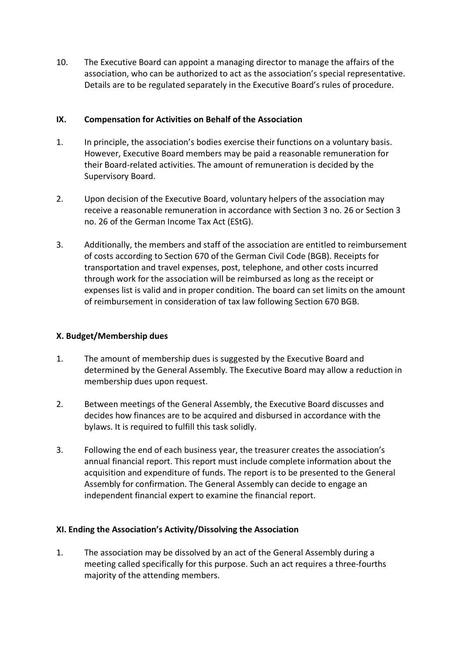10. The Executive Board can appoint a managing director to manage the affairs of the association, who can be authorized to act as the association's special representative. Details are to be regulated separately in the Executive Board's rules of procedure.

## **IX. Compensation for Activities on Behalf of the Association**

- 1. In principle, the association's bodies exercise their functions on a voluntary basis. However, Executive Board members may be paid a reasonable remuneration for their Board-related activities. The amount of remuneration is decided by the Supervisory Board.
- 2. Upon decision of the Executive Board, voluntary helpers of the association may receive a reasonable remuneration in accordance with Section 3 no. 26 or Section 3 no. 26 of the German Income Tax Act (EStG).
- 3. Additionally, the members and staff of the association are entitled to reimbursement of costs according to Section 670 of the German Civil Code (BGB). Receipts for transportation and travel expenses, post, telephone, and other costs incurred through work for the association will be reimbursed as long as the receipt or expenses list is valid and in proper condition. The board can set limits on the amount of reimbursement in consideration of tax law following Section 670 BGB.

# **X. Budget/Membership dues**

- 1. The amount of membership dues is suggested by the Executive Board and determined by the General Assembly. The Executive Board may allow a reduction in membership dues upon request.
- 2. Between meetings of the General Assembly, the Executive Board discusses and decides how finances are to be acquired and disbursed in accordance with the bylaws. It is required to fulfill this task solidly.
- 3. Following the end of each business year, the treasurer creates the association's annual financial report. This report must include complete information about the acquisition and expenditure of funds. The report is to be presented to the General Assembly for confirmation. The General Assembly can decide to engage an independent financial expert to examine the financial report.

# **XI. Ending the Association's Activity/Dissolving the Association**

1. The association may be dissolved by an act of the General Assembly during a meeting called specifically for this purpose. Such an act requires a three-fourths majority of the attending members.